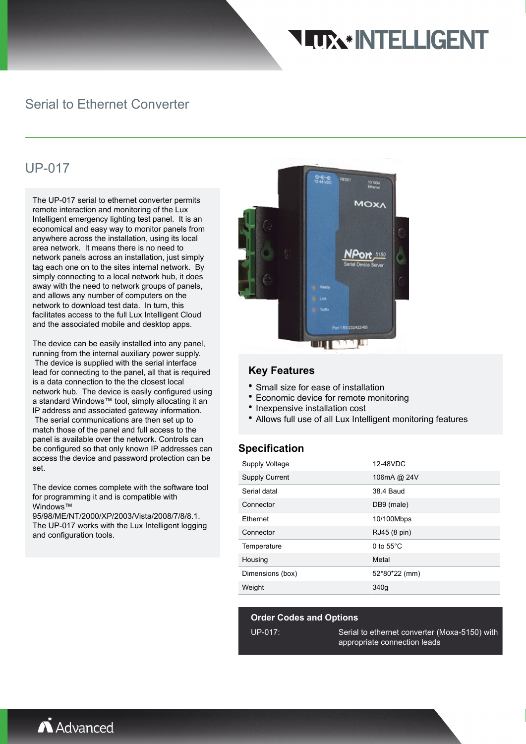# **TIX\* INTELLIGENT**

### Serial to Ethernet Converter

## UP-017

The UP-017 serial to ethernet converter permits remote interaction and monitoring of the Lux Intelligent emergency lighting test panel. It is an economical and easy way to monitor panels from anywhere across the installation, using its local area network. It means there is no need to network panels across an installation, just simply tag each one on to the sites internal network. By simply connecting to a local network hub, it does away with the need to network groups of panels, and allows any number of computers on the network to download test data. In turn, this facilitates access to the full Lux Intelligent Cloud and the associated mobile and desktop apps.

The device can be easily installed into any panel, running from the internal auxiliary power supply. The device is supplied with the serial interface lead for connecting to the panel, all that is required is a data connection to the the closest local network hub. The device is easily configured using a standard Windows™ tool, simply allocating it an IP address and associated gateway information. The serial communications are then set up to match those of the panel and full access to the panel is available over the network. Controls can be configured so that only known IP addresses can access the device and password protection can be set.

The device comes complete with the software tool for programming it and is compatible with Windows™

95/98/ME/NT/2000/XP/2003/Vista/2008/7/8/8.1. The UP-017 works with the Lux Intelligent logging and configuration tools.



#### **Key Features**

- Small size for ease of installation
- Economic device for remote monitoring
- Inexpensive installation cost
- Allows full use of all Lux Intelligent monitoring features

#### **Specification**

| Supply Voltage        | 12-48VDC            |  |
|-----------------------|---------------------|--|
| <b>Supply Current</b> | 106mA @ 24V         |  |
| Serial datal          | 38.4 Baud           |  |
| Connector             | DB9 (male)          |  |
| Ethernet              | 10/100Mbps          |  |
| Connector             | RJ45 (8 pin)        |  |
| Temperature           | 0 to $55^{\circ}$ C |  |
| Housing               | Metal               |  |
| Dimensions (box)      | 52*80*22 (mm)       |  |
| Weight                | 340g                |  |

#### **Order Codes and Options**

UP-017: Serial to ethernet converter (Moxa-5150) with appropriate connection leads

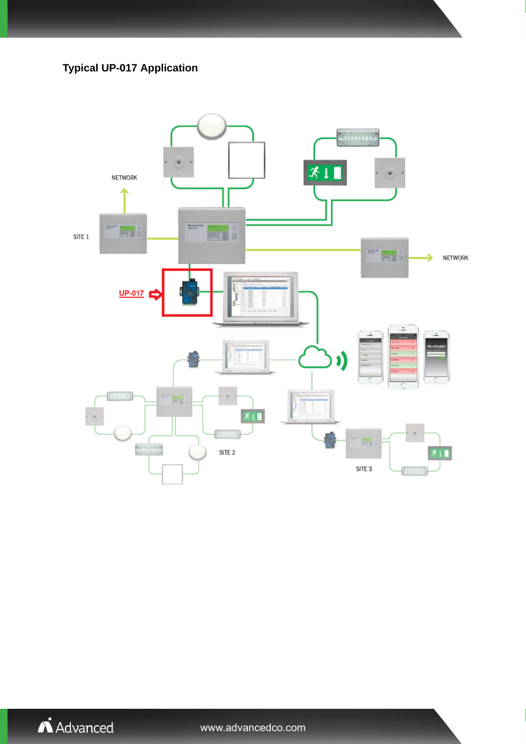**Typical UP-017 Application**





www.advancedco.com